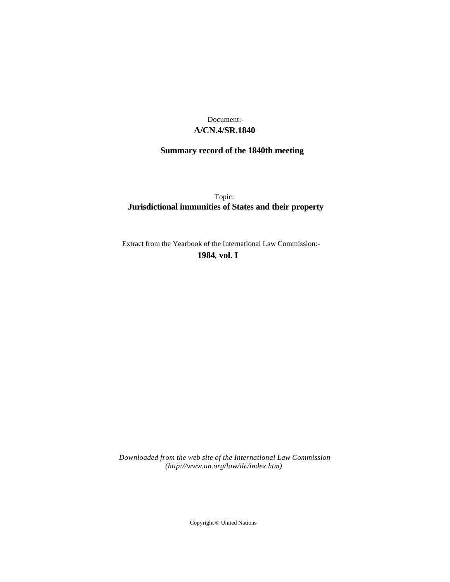## **A/CN.4/SR.1840** Document:-

# **Summary record of the 1840th meeting**

Topic: **Jurisdictional immunities of States and their property**

Extract from the Yearbook of the International Law Commission:-

**1984** , **vol. I**

*Downloaded from the web site of the International Law Commission (http://www.un.org/law/ilc/index.htm)*

Copyright © United Nations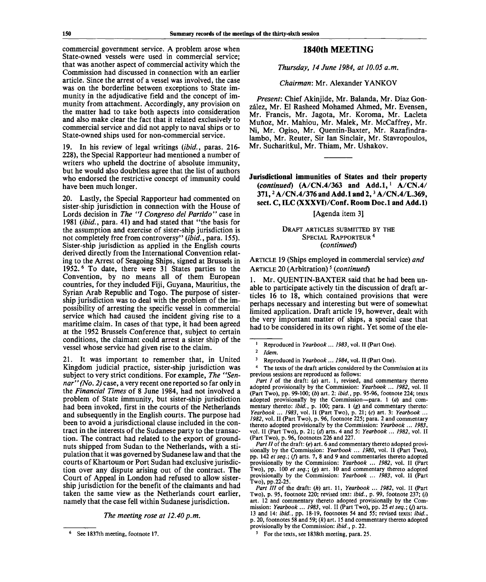commercial government service. A problem arose when State-owned vessels were used in commercial service; that was another aspect of commercial activity which the Commission had discussed in connection with an earlier article. Since the arrest of a vessel was involved, the case was on the borderline between exceptions to State immunity in the adjudicative field and the concept of immunity from attachment. Accordingly, any provision on the matter had to take both aspects into consideration and also make clear the fact that it related exclusively to commercial service and did not apply to naval ships or to State-owned ships used for non-commercial service.

19. In his review of legal writings *(ibid.,* paras. 216- 228), the Special Rapporteur had mentioned a number of writers who upheld the doctrine of absolute immunity, but he would also doubtless agree that the list of authors who endorsed the restrictive concept of immunity could have been much longer.

20. Lastly, the Special Rapporteur had commented on sister-ship jurisdiction in connection with the House of Lords decision in *The "I Congreso del Partido"* case in 1981 *(ibid.,* para. 41) and had stated that "the basis for the assumption and exercise of sister-ship jurisdiction is not completely free from controversy" *(ibid.,* para. 155). Sister-ship jurisdiction as applied in the English courts derived directly from the International Convention relating to the Arrest of Seagoing Ships, signed at Brussels in 1952.<sup>6</sup> To date, there were 31 States parties to the Convention, by no means all of them European countries, for they included Fiji, Guyana, Mauritius, the Syrian Arab Republic and Togo. The purpose of sistership jurisdiction was to deal with the problem of the impossibility of arresting the specific vessel in commercial service which had caused the incident giving rise to a maritime claim. In cases of that type, it had been agreed at the 1952 Brussels Conference that, subject to certain conditions, the claimant could arrest a sister ship of the vessel whose service had given rise to the claim.

21. It was important to remember that, in United Kingdom judicial practice, sister-ship jurisdiction was subject to very strict conditions. For example, *The "Sennar" (No. 2)* case, a very recent one reported so far only in the *Financial Times* of 8 June 1984, had not involved a problem of State immunity, but sister-ship jurisdiction had been invoked, first in the courts of the Netherlands and subsequently in the English courts. The purpose had been to avoid a jurisdictional clause included in the contract in the interests of the Sudanese party to the transaction. The contract had related to the export of groundnuts shipped from Sudan to the Netherlands, with a stipulation that it was governed by Sudanese law and that the courts of Khartoum or Port Sudan had exclusive jurisdiction over any dispute arising out of the contract. The Court of Appeal in London had refused to allow sistership jurisdiction for the benefit of the claimants and had taken the same view as the Netherlands court earlier, namely that the case fell within Sudanese jurisdiction.

#### *The meeting rose at 12.40 p.m.*

### **1840th MEETING**

*Thursday, 14 June 1984, at 10.05 a.m.*

#### *Chairman:* Mr. Alexander YANKOV

*Present:* Chief Akinjide, Mr. Balanda, Mr. Diaz Gonzalez, Mr. El Rasheed Mohamed Ahmed, Mr. Evensen, Mr. Francis, Mr. Jagota, Mr. Koroma, Mr. Lacleta Mufioz, Mr. Mahiou, Mr. Malek, Mr. McCaffrey, Mr. Ni, Mr. Ogiso, Mr. Quentin-Baxter, Mr. Razafindralambo, Mr. Reuter, Sir Ian Sinclair, Mr. Stavropoulos, Mr. Sucharitkul, Mr. Thiam, Mr. Ushakov.

**Jurisdictional immunities of States and their property** *(continued)* **(A/CN.4/363 and Add.l,***<sup>1</sup>*  **A/CN.4/ 371,<sup>2</sup> A/CN.4/376 and Add.l and 2,<sup>3</sup> A/CN.4/L.369, sect. C, ILC (XXXVI)/Conf. Room Doc.l and Add.l)**

### [Agenda item 31

### DRAFT ARTICLES SUBMITTED BY THE SPECIAL RAPPORTEUR<sup>4</sup> *(continued)*

ARTICLE 19 (Ships employed in commercial service) *and* ARTICLE 20 (Arbitration)<sup>5</sup> (continued)

1. Mr. QUENTIN-BAXTER said that he had been unable to participate actively tin the discussion of draft articles 16 to 18, which contained provisions that were perhaps necessary and interesting but were of somewhat limited application. Draft article 19, however, dealt with the very important matter of ships, a special case that had to be considered in its own right. Yet some of the ele-

4 The texts of the draft articles considered by the Commission at its previous sessions are reproduced as follows:

*Part I* of the draft: (a) art. 1, revised, and commentary thereto adopted provisionally by the Commission: *Yearbook* ... *1982,* vol. II (Part Two), pp. 99-100; *(b)* art. 2: *ibid.,* pp. 95-96, footnote 224; texts adopted provisionally by the Commission—para. 1 *(a)* and commentary thereto: *ibid.,* p. 100; para. 1 (g) and commentary thereto: *Yearbook* ... *1983,* vol. II (Part Two), p. 21; (c) art. 3: *Yearbook* ... *1982,* vol. II (Part Two), p. 96, footnote 225; para. 2 and commentary thereto adopted provisionally by the Commission: *Yearbook ... 1983,* vol. II (Part Two), p. 21; *(d)* arts. 4 and 5: *Yearbook ... 1982,* vol. II (Part Two), p. 96, footnotes 226 and 227.

*Part II* of the draft: (e) art. 6 and commentary thereto adopted provisionally by the Commission: *Yearbook* ... *1980,* vol. II (Part Two), pp. 142 *et seq.\* (/) arts. 7, 8 and 9 and commentaries thereto adopted provisionally by the Commission: *Yearbook* ... *1982,* vol. II (Part Two), pp. 100 *et seq.; (g)* art. 10 and commentary thereto adopted provisionally by the Commission: *Yearbook* ... *1983,* vol. II (Part Two), pp.22-25.

*Part III* of the draft: *(h)* art. 11, *Yearbook* ... *1982,* vol. II (Part Two), p. 95, footnote 220; revised text: *ibid.,* p. 99, footnote 237; (/) art. 12 and commentary thereto adopted provisionally by the Commission: *Yearbook* ... 1983, vol. II (Part Two), pp. 25 et seq.; (j) arts. 13 and 14: *ibid.,* pp. 18-19, footnotes 54 and 55; revised texts: *ibid.,* p. 20, footnotes 58 and 59; *(k)* art. 15 and commentary thereto adopted provisionally by the Commission: *ibid.,* p. 22.

5 For the texts, see 1838th meeting, para. 25.

<sup>6</sup> See 1837th meeting, footnote 17.

<sup>1</sup> Reproduced in *Yearbook*... *1983,* vol. II (Part One).

<sup>2</sup>  *Idem.*

<sup>3</sup> Reproduced in *Yearbook... 1984,* vol. II (Part One).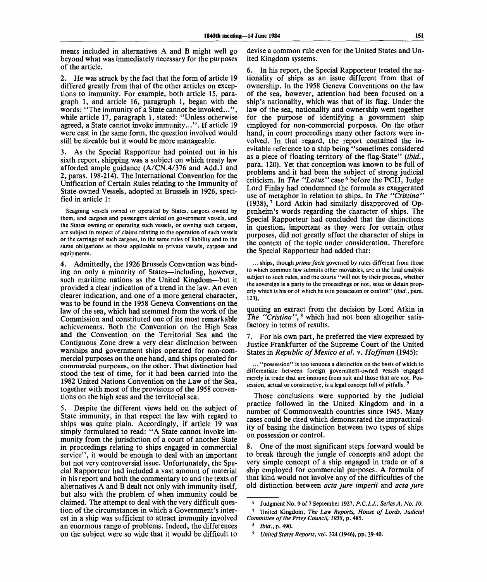ments included in alternatives A and B might well go beyond what was immediately necessary for the purposes of the article.

2. He was struck by the fact that the form of article 19 differed greatly from that of the other articles on exceptions to immunity. For example, both article 15, paragraph 1, and article 16, paragraph 1, began with the words: "The immunity of a State cannot be invoked...", while article 17, paragraph 1, stated: "Unless otherwise agreed, a State cannot invoke immunity...". If article 19 were cast in the same form, the question involved would still be sizeable but it would be more manageable.

3. As the Special Rapporteur had pointed out in his sixth report, shipping was a subject on which treaty law afforded ample guidance (A/CN.4/376 and Add.l and 2, paras. 198-214). The International Convention for the Unification of Certain Rules relating to the Immunity of State-owned Vessels, adopted at Brussels in 1926, specified in article 1:

Seagoing vessels owned or operated by States, cargoes owned by them, and cargoes and passengers carried on government vessels, and the States owning or operating such vessels, or owning such cargoes, are subject in respect of claims relating to the operation of such vessels or the carriage of such cargoes, to the same rules of liability and to the same obligations as those applicable to private vessels, cargoes and equipments.

4. Admittedly, the 1926 Brussels Convention was binding on only a minority of States—including, however, such maritime nations as the United Kingdom—but it provided a clear indication of a trend in the law. An even clearer indication, and one of a more general character, was to be found in the 1958 Geneva Conventions on the law of the sea, which had stemmed from the work of the Commission and constituted one of its most remarkable achievements. Both the Convention on the High Seas and the Convention on the Territorial Sea and the Contiguous Zone drew a very clear distinction between warships and government ships operated for non-commercial purposes on the one hand, and ships operated for commercial purposes, on the other. That distinction had stood the test of time, for it had been carried into the 1982 United Nations Convention on the Law of the Sea, together with most of the provisions of the 1958 conventions on the high seas and the territorial sea.

5. Despite the different views held on the subject of State immunity, in that respect the law with regard to ships was quite plain. Accordingly, if article 19 was simply formulated to read: "A State cannot invoke immunity from the jurisdiction of a court of another State in proceedings relating to ships engaged in commercial service", it would be enough to deal with an important but not very controversial issue. Unfortunately, the Special Rapporteur had included a vast amount of material in his report and both the commentary to and the texts of alternatives A and B dealt not only with immunity itself, but also with the problem of when immunity could be claimed. The attempt to deal with the very difficult question of the circumstances in which a Government's interest in a ship was sufficient to attract immunity involved an enormous range of problems. Indeed, the differences on the subject were so wide that it would be difficult to

devise a common rule even for the United States and United Kingdom systems.

6. In his report, the Special Rapporteur treated the nationality of ships as an issue different from that of ownership. In the 1958 Geneva Conventions on the law of the sea, however, attention had been focused on a ship's nationality, which was that of its flag. Under the law of the sea, nationality and ownership went together for the purpose of identifying a government ship employed for non-commercial purposes. On the other hand, in court proceedings many other factors were involved. In that regard, the report contained the inevitable reference to a ship being "sometimes considered as a piece of floating territory of the flag-State" *(ibid.,* para. 120). Yet that conception was known to be full of problems and it had been the subject of strong judicial ervolume and *i* had over the subject of strong junions.<br>criticism. In *The "Lotus"* case <sup>6</sup> before the PCIJ, Judge Lord Finlay had condemned the formula as exaggerated use of metaphor in relation to ships. In *The "Cristina"*  $(1938)$ ,  $^7$  Lord Atkin had similarly disapproved of Oppenheim's words regarding the character of ships. The Special Rapporteur had concluded that the distinctions in question, important as they were for certain other purposes, did not greatly affect the character of ships in the context of the topic under consideration. Therefore the Special Rapporteur had added that:

... ships, though *prima facie* governed by rules different from those to which common law submits other movables, are in the final analysis subject to such rules, and the courts "will not by their process, whether the sovereign is a party to the proceedings or not, seize or detain property which is his or of which he is in possession or control" *(ibid.*, para. 123),

quoting an extract from the decision by Lord Atkin in *The "Cristina",*<sup>8</sup> which had not been altogether satisfactory in terms of results.

7. For his own part, he preferred the view expressed by Justice Frankfurter of the Supreme Court of the United States in *Republic of Mexico et al.* v. *Hoffman* (1945):

... "possession" is too tenuous a distinction on the basis of which to differentiate between foreign government-owned vessels engaged merely in trade that are immune from suit and those that are not. Possession, actual or constructive, is a legal concept full of pitfalls.<sup>5</sup>

Those conclusions were supported by the judicial practice followed in the United Kingdom and in a number of Commonwealth countries since 1945. Many cases could be cited which demonstrated the impracticality of basing the distinction between two types of ships on possession or control.

8. One of the most significant steps forward would be to break through the jungle of concepts and adopt the very simple concept of a ship engaged in trade or of a ship employed for commercial purposes. A formula of that kind would not involve any of the difficulties of the old distinction between *acta jure imperil* and *acta jure*

<sup>6</sup> Judgment No. 9 of 7 September 1927, *P.C.I.J., Series A, No. 10.* 7 United Kingdom, *The Law Reports, House of Lords, Judicial*

*Committee of the Privy Council, 1938,* p. 485. 8

*Ibid.,* p. 490.

<sup>9</sup>  *United States Reports,* vol. 324 (1946), pp. 39-40.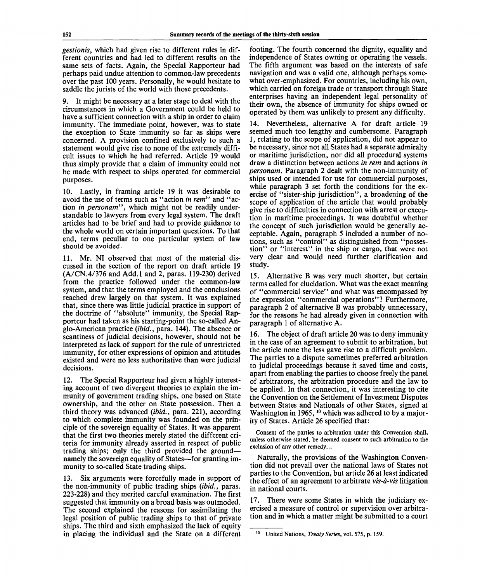*gestionis,* which had given rise to different rules in different countries and had led to different results on the same sets of facts. Again, the Special Rapporteur had perhaps paid undue attention to common-law precedents over the past 100 years. Personally, he would hesitate to saddle the jurists of the world with those precedents.

9. It might be necessary at a later stage to deal with the circumstances in which a Government could be held to have a sufficient connection with a ship in order to claim immunity. The immediate point, however, was to state the exception to State immunity so far as ships were concerned. A provision confined exclusively to such a statement would give rise to none of the extremely difficult issues to which he had referred. Article 19 would thus simply provide that a claim of immunity could not be made with respect to ships operated for commercial purposes.

10. Lastly, in framing article 19 it was desirable to avoid the use of terms such as ''action *in rem"* and "action *in personam",* which might not be readily understandable to lawyers from every legal system. The draft articles had to be brief and had to provide guidance to the whole world on certain important questions. To that end, terms peculiar to one particular system of law should be avoided.

11. Mr. NI observed that most of the material discussed in the section of the report on draft article 19 (A/CN.4/376 and Add.l and 2, paras. 119-230) derived from the practice followed under the common-law system, and that the terms employed and the conclusions reached drew largely on that system. It was explained that, since there was little judicial practice in support of the doctrine of "absolute" immunity, the Special Rapporteur had taken as his starting-point the so-called Anglo-American practice *(ibid.,* para. 144). The absence or scantiness of judicial decisions, however, should not be interpreted as lack of support for the rule of unrestricted immunity, for other expressions of opinion and attitudes existed and were no less authoritative than were judicial decisions.

12. The Special Rapporteur had given a highly interesting account of two divergent theories to explain the immunity of government trading ships, one based on State ownership, and the other on State possession. Then a third theory was advanced *(ibid.,* para. 221), according to which complete immunity was founded on the principle of the sovereign equality of States. It was apparent that the first two theories merely stated the different criteria for immunity already asserted in respect of public trading ships; only the third provided the ground namely the sovereign equality of States—for granting immunity to so-called State trading ships.

13. Six arguments were forcefully made in support of the non-immunity of public trading ships *(ibid.,* paras. 223-228) and they merited careful examination. The first suggested that immunity on a broad basis was outmoded. The second explained the reasons for assimilating the legal position of public trading ships to that of private ships. The third and sixth emphasized the lack of equity in placing the individual and the State on a different footing. The fourth concerned the dignity, equality and independence of States owning or operating the vessels. The fifth argument was based on the interests of safe navigation and was a valid one, although perhaps somewhat over-emphasized. For countries, including his own, which carried on foreign trade or transport through State enterprises having an independent legal personality of their own, the absence of immunity for ships owned or operated by them was unlikely to present any difficulty.

14. Nevertheless, alternative A for draft article 19 seemed much too lengthy and cumbersome. Paragraph 1, relating to the scope of application, did not appear to be necessary, since not all States had a separate admiralty or maritime jurisdiction, nor did all procedural systems draw a distinction between actions *in rem* and actions *in personam.* Paragraph 2 dealt with the non-immunity of ships used or intended for use for commercial purposes, while paragraph 3 set forth the conditions for the exercise of "sister-ship jurisdiction", a broadening of the scope of application of the article that would probably give rise to difficulties in connection with arrest or execution in maritime proceedings. It was doubtful whether the concept of such jurisdiction would be generally acceptable. Again, paragraph 5 included a number of notions, such as "control" as distinguished from "possession" or "interest" in the ship or cargo, that were not very clear and would need further clarification and study.

15. Alternative B was very much shorter, but certain terms called for elucidation. What was the exact meaning of "commercial service" and what was encompassed by the expression "commercial operations"? Furthermore, paragraph 2 of alternative B was probably unnecessary, for the reasons he had already given in connection with paragraph 1 of alternative A.

16. The object of draft article 20 was to deny immunity in the case of an agreement to submit to arbitration, but the article none the less gave rise to a difficult problem. The parties to a dispute sometimes preferred arbitration to judicial proceedings because it saved time and costs, apart from enabling the parties to choose freely the panel of arbitrators, the arbitration procedure and the law to be applied. In that connection, it was interesting to cite the Convention on the Settlement of Investment Disputes between States and Nationals of other States, signed at Washington in 1965,  $10$  which was adhered to by a majority of States. Article 26 specified that:

Consent of the parties to arbitration under this Convention shall, unless otherwise stated, be deemed consent to such arbitration to the exclusion of any other remedy...

Naturally, the provisions of the Washington Convention did not prevail over the national laws of States not parties to the Convention, but article 26 at least indicated the effect of an agreement to arbitrate *vis-a-vis* litigation in national courts.

17. There were some States in which the judiciary exercised a measure of control or supervision over arbitration and in which a matter might be submitted to a court

United Nations, *Treaty Series,* vol. 575, p. 159.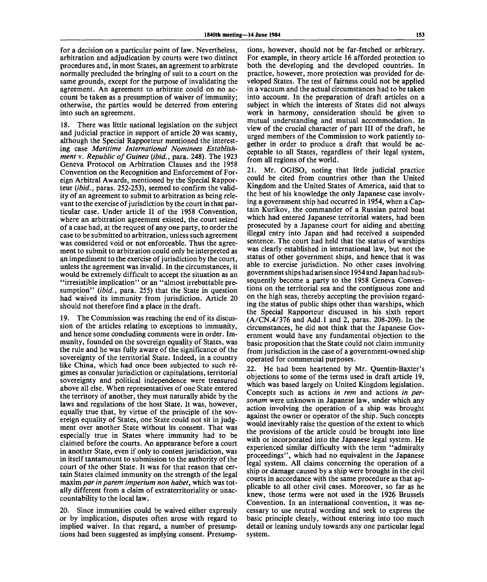for a decision on a particular point of law. Nevertheless, arbitration and adjudication by courts were two distinct procedures and, in most States, an agreement to arbitrate normally precluded the bringing of suit to a court on the same grounds, except for the purpose of invalidating the agreement. An agreement to arbitrate could on no account be taken as a presumption of waiver of immunity; otherwise, the parties would be deterred from entering into such an agreement.

18. There was little national legislation on the subject and judicial practice in support of article 20 was scanty, although the Special Rapporteur mentioned the interesting case *Maritime International Nominees Establishment* v. *Republic of Guinea (ibid.,* para. 248). The 1923 Geneva Protocol on Arbitration Clauses and the 1958 Convention on the Recognition and Enforcement of Foreign Arbitral Awards, mentioned by the Special Rapporteur *(ibid.,* paras. 252-253), seemed to confirm the validity of an agreement to submit to arbitration as being relevant to the exercise of jurisdiction by the court in that particular case. Under article II of the 1958 Convention, where an arbitration agreement existed, the court seized of a case had, at the request of any one party, to order the case to be submitted to arbitration, unless such agreement was considered void or not enforceable. Thus the agreement to submit to arbitration could only be interpreted as an impediment to the exercise of jurisdiction by the court, unless the agreement was invalid. In the circumstances, it would be extremely difficult to accept the situation as an "irresistible implication" or an "almost irrebuttable presumption" *(ibid.,* para. 255) that the State in question had waived its immunity from jurisdiction. Article 20 should not therefore find a place in the draft.

19. The Commission was reaching the end of its discussion of the articles relating to exceptions to immunity, and hence some concluding comments were in order. Immunity, founded on the sovereign equality of States, was the rule and he was fully aware of the significance of the sovereignty of the territorial State. Indeed, in a country like China, which had once been subjected to such regimes as consular jurisdiction or capitulations, territorial sovereignty and political independence were treasured above all else. When representatives of one State entered the territory of another, they must naturally abide by the laws and regulations of the host State. It was, however, equally true that, by virtue of the principle of the sovereign equality of States, one State could not sit in judgment over another State without its consent. That was especially true in States where immunity had to be claimed before the courts. An appearance before a court in another State, even if only to contest jurisdiction, was in itself tantamount to submission to the authority of the court of the other State. It was for that reason that certain States claimed immunity on the strength of the legal maxim *par inparem imperium non habet,* which was totally different from a claim of extraterritoriality or unaccountability to the local law.

20. Since immunities could be waived either expressly or by implication, disputes often arose with regard to implied waiver. In that regard, a number of presumptions had been suggested as implying consent. Presump-

tions, however, should not be far-fetched or arbitrary. For example, in theory article 16 afforded protection to both the developing and the developed countries. In practice, however, more protection was provided for developed States. The test of fairness could not be applied in a vacuum and the actual circumstances had to be taken into account. In the preparation of draft articles on a subject in which the interests of States did not always work in harmony, consideration should be given to mutual understanding and mutual accommodation. In view of the crucial character of part III of the draft, he urged members of the Commission to work patiently together in order to produce a draft that would be acceptable to all States, regardless of their legal system, from all regions of the world.

21. Mr. OGISO, noting that little judicial, practice could be cited from countries other than the United Kingdom and the United States of America, said that to the best of his knowledge the only Japanese case involving a government ship had occurred in 1954, when a Captain Kurikov, the commander of a Russian patrol boat which had entered Japanese territorial waters, had been prosecuted by a Japanese court for aiding and abetting illegal entry into Japan and had received a suspended sentence. The court had held that the status of warships was clearly established in international law, but not the status of other government ships, and hence that it was able to exercise jurisdiction. No other cases involving government ships had arisen since 1954 and Japan had subsequently become a party to the 1958 Geneva Conventions on the territorial sea and the contiguous zone and on the high seas, thereby accepting the provision regarding the status of public ships other than warships, which the Special Rapporteur discussed in his sixth report (A/CN.4/376 and Add.l and 2, paras. 208-209). In the circumstances, he did not think that the Japanese Government would have any fundamental objection to the basic proposition that the State could not claim immunity from jurisdiction in the case of a government-owned ship operated for commercial purposes.

22. He had been heartened by Mr. Quentin-Baxter's objections to some of the terms used in draft article 19, which was based largely on United Kingdom legislation. Concepts such as actions *in rem* and actions *in personam* were unknown in Japanese law, under which any action involving the operation of a ship was brought against the owner or operator of the ship. Such concepts would inevitably raise the question of the extent to which the provisions of the article could be brought into line with or incorporated into the Japanese legal system. He experienced similar difficulty with the term "admiralty proceedings", which had no equivalent in the Japanese legal system. All claims concerning the operation of a ship or damage caused by a ship were brought in the civil courts in accordance with the same procedure as that applicable to all other civil cases. Moreover, so far as he knew, those terms were not used in the 1926 Brussels Convention. In an international convention, it was necessary to use neutral wording and seek to express the basic principle clearly, without entering into too much detail or leaning unduly towards any one particular legal system.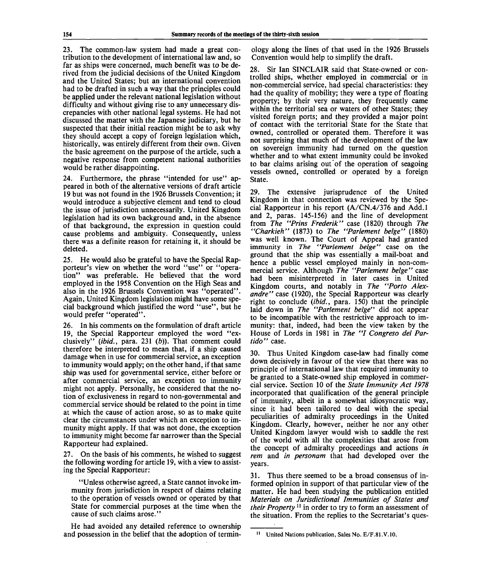23. The common-law system had made a great contribution to the development of international law and, so far as ships were concerned, much benefit was to be derived from the judicial decisions of the United Kingdom and the United States; but an international convention had to be drafted in such a way that the principles could be applied under the relevant national legislation without difficulty and without giving rise to any unnecessary discrepancies with other national legal systems. He had not discussed the matter with the Japanese judiciary, but he suspected that their initial reaction might be to ask why they should accept a copy of foreign legislation which, historically, was entirely different from their own. Given the basic agreement on the purpose of the article, such a negative response from competent national authorities would be rather disappointing.

24. Furthermore, the phrase "intended for use" appeared in both of the alternative versions of draft article 19 but was not found in the 1926 Brussels Convention; it would introduce a subjective element and tend to cloud the issue of jurisdiction unnecessarily. United Kingdom legislation had its own background and, in the absence of that background, the expression in question could cause problems and ambiguity. Consequently, unless there was a definite reason for retaining it, it should be deleted.

25. He would also be grateful to have the Special Rapporteur's view on whether the word "use" or "operation" was preferable. He believed that the word employed in the 1958 Convention on the High Seas and also in the 1926 Brussels Convention was "operated". Again, United Kingdom legislation might have some special background which justified the word "use", but he would prefer "operated".

26. In his comments on the formulation of draft article 19, the Special Rapporteur employed the word "exclusively" *(ibid.,* para. 231 *(b)).* That comment could therefore be interpreted to mean that, if a ship caused damage when in use for commercial service, an exception to immunity would apply; on the other hand, if that same ship was used for governmental service, either before or after commercial service, an exception to immunity might not apply. Personally, he considered that the notion of exclusiveness in regard to non-governmental and commercial service should be related to the point in time at which the cause of action arose, so as to make quite clear the circumstances under which an exception to immunity might apply. If that was not done, the exception to immunity might become far narrower than the Special Rapporteur had explained.

27. On the basis of his comments, he wished to suggest the following wording for article 19, with a view to assisting the Special Rapporteur:

"Unless otherwise agreed, a State cannot invoke immunity from jurisdiction in respect of claims relating to the operation of vessels owned or operated by that State for commercial purposes at the time when the cause of such claims arose."

He had avoided any detailed reference to ownership and possession in the belief that the adoption of terminology along the lines of that used in the 1926 Brussels Convention would help to simplify the draft.

28. Sir Ian SINCLAIR said that State-owned or controlled ships, whether employed in commercial or in non-commercial service, had special characteristics: they had the quality of mobility; they were a type of floating property; by their very nature, they frequently came within the territorial sea or waters of other States; they visited foreign ports; and they provided a major point of contact with the territorial State for the State that owned, controlled or operated them. Therefore it was not surprising that much of the development of the law on sovereign immunity had turned on the question whether and to what extent immunity could be invoked to bar claims arising out of the operation of seagoing vessels owned, controlled or operated by a foreign State.

29. The extensive jurisprudence of the United Kingdom in that connection was reviewed by the Special Rapporteur in his report (A/CN.4/376 and Add.l and 2, paras. 145-156) and the line of development from *The "Prins Frederik"* case (1820) through *The "Charkieh"* (1873) to *The "Parlement beige"* (1880) was well known. The Court of Appeal had granted immunity in *The "Parlement beige"* case on the ground that the ship was essentially a mail-boat and hence a public vessel employed mainly in non-commercial service. Although *The "Parlement beige"* case had been misinterpreted in later cases in United Kingdom courts, and notably in *The "Porto Alexandre"* case (1920), the Special Rapporteur was clearly right to conclude *(ibid.,* para. 150) that the principle laid down in *The "Parlement beige"* did not appear to be incompatible with the restrictive approach to immunity: that, indeed, had been the view taken by the House of Lords in 1981 in *The "I Congreso del Partido"* case.

30. Thus United Kingdom case-law had finally come down decisively in favour of the view that there was no principle of international law that required immunity to be granted to a State-owned ship employed in commercial service. Section 10 of the *State Immunity Act 1978* incorporated that qualification of the general principle of immunity, albeit in a somewhat idiosyncratic way, since it had been tailored to deal with the special peculiarities of admiralty proceedings in the United Kingdom. Clearly, however, neither he nor any other United Kingdom lawyer would wish to saddle the rest of the world with all the complexities that arose from the concept of admiralty proceedings and actions *in rem* and *in personam* that had developed over the years.

31. Thus there seemed to be a broad consensus of informed opinion in support of that particular view of the matter. He had been studying the publication entitled *Materials on Jurisdictional Immunities of States and their Property*<sup>11</sup> in order to try to form an assessment of the situation. From the replies to the Secretariat's ques-

**<sup>11</sup> United Nations publication, Sales No. E/F.81.V.10.**